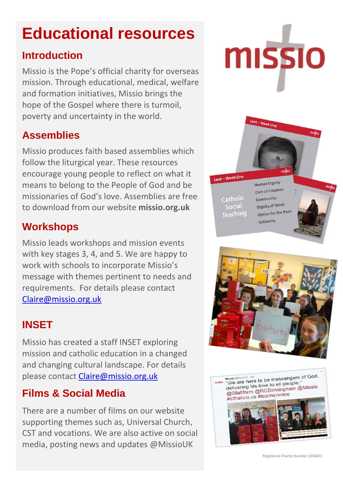# **Educational resources**

#### **Introduction**

Missio is the Pope's official charity for overseas mission. Through educational, medical, welfare and formation initiatives, Missio brings the hope of the Gospel where there is turmoil, poverty and uncertainty in the world.

# **Assemblies**

Missio produces faith based assemblies which follow the liturgical year. These resources encourage young people to reflect on what it means to belong to the People of God and be missionaries of God's love. Assemblies are free to download from our website **missio.org.uk**

#### **Workshops**

Missio leads workshops and mission events with key stages 3, 4, and 5. We are happy to work with schools to incorporate Missio's message with themes pertinent to needs and requirements. For details please contact [Claire@missio.org.uk](mailto:Claire@missio.org.uk)

# **INSET**

Missio has created a staff INSET exploring mission and catholic education in a changed and changing cultural landscape. For details please contact [Claire@missio.org.uk](mailto:Claire@missio.org.uk)

# **Films & Social Media**

There are a number of films on our website supporting themes such as, Universal Church, CST and vocations. We are also active on social media, posting news and updates @MissioUK







Registered Charity Number 1056651